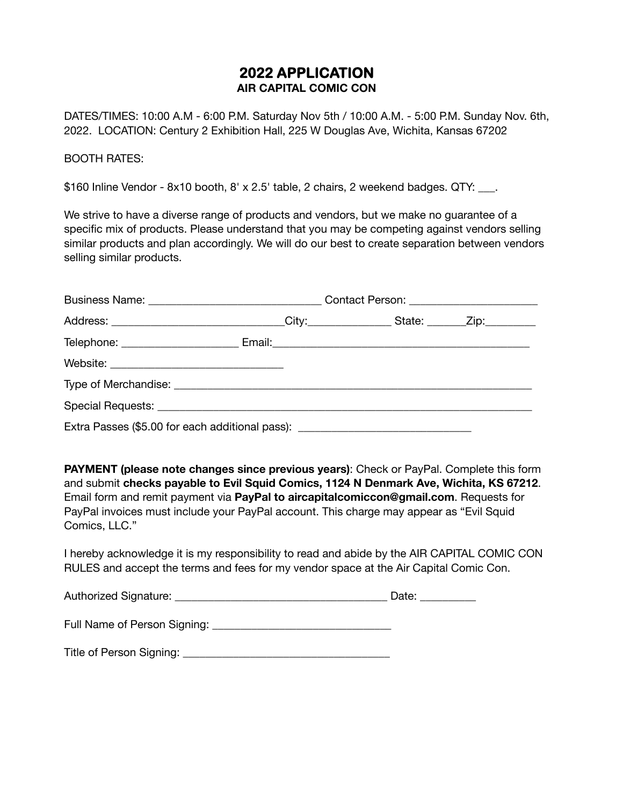## **2022 APPLICATION AIR CAPITAL COMIC CON**

DATES/TIMES: 10:00 A.M - 6:00 P.M. Saturday Nov 5th / 10:00 A.M. - 5:00 P.M. Sunday Nov. 6th, 2022. LOCATION: Century 2 Exhibition Hall, 225 W Douglas Ave, Wichita, Kansas 67202

## BOOTH RATES:

 $$160$  Inline Vendor - 8x10 booth, 8' x 2.5' table, 2 chairs, 2 weekend badges. QTY:

We strive to have a diverse range of products and vendors, but we make no guarantee of a specific mix of products. Please understand that you may be competing against vendors selling similar products and plan accordingly. We will do our best to create separation between vendors selling similar products.

| Address: ______________________________City:________________State: ________Zip:_____________________ |  |  |  |
|------------------------------------------------------------------------------------------------------|--|--|--|
|                                                                                                      |  |  |  |
|                                                                                                      |  |  |  |
|                                                                                                      |  |  |  |
|                                                                                                      |  |  |  |
| Extra Passes (\$5.00 for each additional pass): _________________________________                    |  |  |  |

**PAYMENT (please note changes since previous years)**: Check or PayPal. Complete this form and submit **checks payable to Evil Squid Comics, 1124 N Denmark Ave, Wichita, KS 67212**. Email form and remit payment via **PayPal to aircapitalcomiccon@gmail.com**. Requests for PayPal invoices must include your PayPal account. This charge may appear as "Evil Squid Comics, LLC."

I hereby acknowledge it is my responsibility to read and abide by the AIR CAPITAL COMIC CON RULES and accept the terms and fees for my vendor space at the Air Capital Comic Con.

| <b>Authorized Signature:</b> | Date: |
|------------------------------|-------|
|------------------------------|-------|

Full Name of Person Signing: \_\_\_\_\_\_\_\_\_\_\_\_\_\_\_\_\_\_\_\_\_\_\_\_\_\_\_\_\_\_\_\_

Title of Person Signing: \_\_\_\_\_\_\_\_\_\_\_\_\_\_\_\_\_\_\_\_\_\_\_\_\_\_\_\_\_\_\_\_\_\_\_\_\_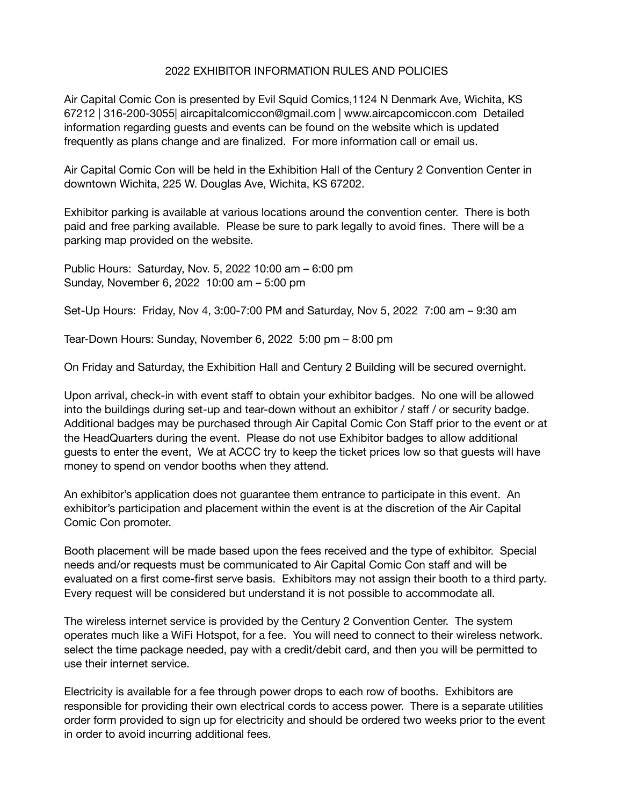## 2022 EXHIBITOR INFORMATION RULES AND POLICIES

Air Capital Comic Con is presented by Evil Squid Comics,1124 N Denmark Ave, Wichita, KS 67212 | 316-200-3055| aircapitalcomiccon@gmail.com | www.aircapcomiccon.com Detailed information regarding guests and events can be found on the website which is updated frequently as plans change and are finalized. For more information call or email us.

Air Capital Comic Con will be held in the Exhibition Hall of the Century 2 Convention Center in downtown Wichita, 225 W. Douglas Ave, Wichita, KS 67202.

Exhibitor parking is available at various locations around the convention center. There is both paid and free parking available. Please be sure to park legally to avoid fines. There will be a parking map provided on the website.

Public Hours: Saturday, Nov. 5, 2022 10:00 am – 6:00 pm Sunday, November 6, 2022 10:00 am – 5:00 pm

Set-Up Hours: Friday, Nov 4, 3:00-7:00 PM and Saturday, Nov 5, 2022 7:00 am – 9:30 am

Tear-Down Hours: Sunday, November 6, 2022 5:00 pm – 8:00 pm

On Friday and Saturday, the Exhibition Hall and Century 2 Building will be secured overnight.

Upon arrival, check-in with event staff to obtain your exhibitor badges. No one will be allowed into the buildings during set-up and tear-down without an exhibitor / staff / or security badge. Additional badges may be purchased through Air Capital Comic Con Staff prior to the event or at the HeadQuarters during the event. Please do not use Exhibitor badges to allow additional guests to enter the event, We at ACCC try to keep the ticket prices low so that guests will have money to spend on vendor booths when they attend.

An exhibitor's application does not guarantee them entrance to participate in this event. An exhibitor's participation and placement within the event is at the discretion of the Air Capital Comic Con promoter.

Booth placement will be made based upon the fees received and the type of exhibitor. Special needs and/or requests must be communicated to Air Capital Comic Con staff and will be evaluated on a first come-first serve basis. Exhibitors may not assign their booth to a third party. Every request will be considered but understand it is not possible to accommodate all.

The wireless internet service is provided by the Century 2 Convention Center. The system operates much like a WiFi Hotspot, for a fee. You will need to connect to their wireless network. select the time package needed, pay with a credit/debit card, and then you will be permitted to use their internet service.

Electricity is available for a fee through power drops to each row of booths. Exhibitors are responsible for providing their own electrical cords to access power. There is a separate utilities order form provided to sign up for electricity and should be ordered two weeks prior to the event in order to avoid incurring additional fees.